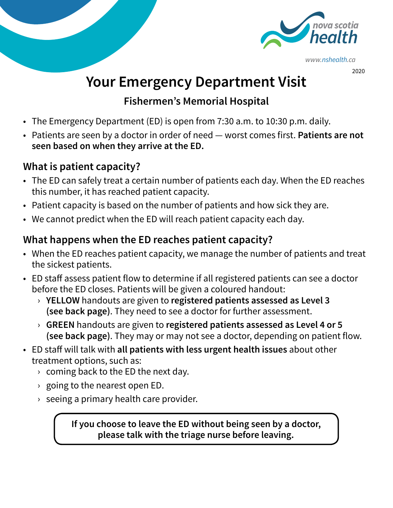

*www.nshealth.ca* 

2020

# **Your Emergency Department Visit**

#### **Fishermen's Memorial Hospital**

- The Emergency Department (ED) is open from 7:30 a.m. to 10:30 p.m. daily.
- Patients are seen by a doctor in order of need worst comes first. **Patients are not seen based on when they arrive at the ED.**

#### **What is patient capacity?**

- The ED can safely treat a certain number of patients each day. When the ED reaches this number, it has reached patient capacity.
- Patient capacity is based on the number of patients and how sick they are.
- We cannot predict when the ED will reach patient capacity each day.

### **What happens when the ED reaches patient capacity?**

- When the ED reaches patient capacity, we manage the number of patients and treat the sickest patients.
- ED staff assess patient flow to determine if all registered patients can see a doctor before the ED closes. Patients will be given a coloured handout:
	- › **YELLOW** handouts are given to **registered patients assessed as Level 3 (see back page)**. They need to see a doctor for further assessment.
	- › **GREEN** handouts are given to **registered patients assessed as Level 4 or 5 (see back page)**. They may or may not see a doctor, depending on patient flow.
- ED staff will talk with **all patients with less urgent health issues** about other treatment options, such as:
	- $\rightarrow$  coming back to the ED the next day.
	- $\rightarrow$  going to the nearest open ED.
	- $\rightarrow$  seeing a primary health care provider.

**If you choose to leave the ED without being seen by a doctor, please talk with the triage nurse before leaving.**